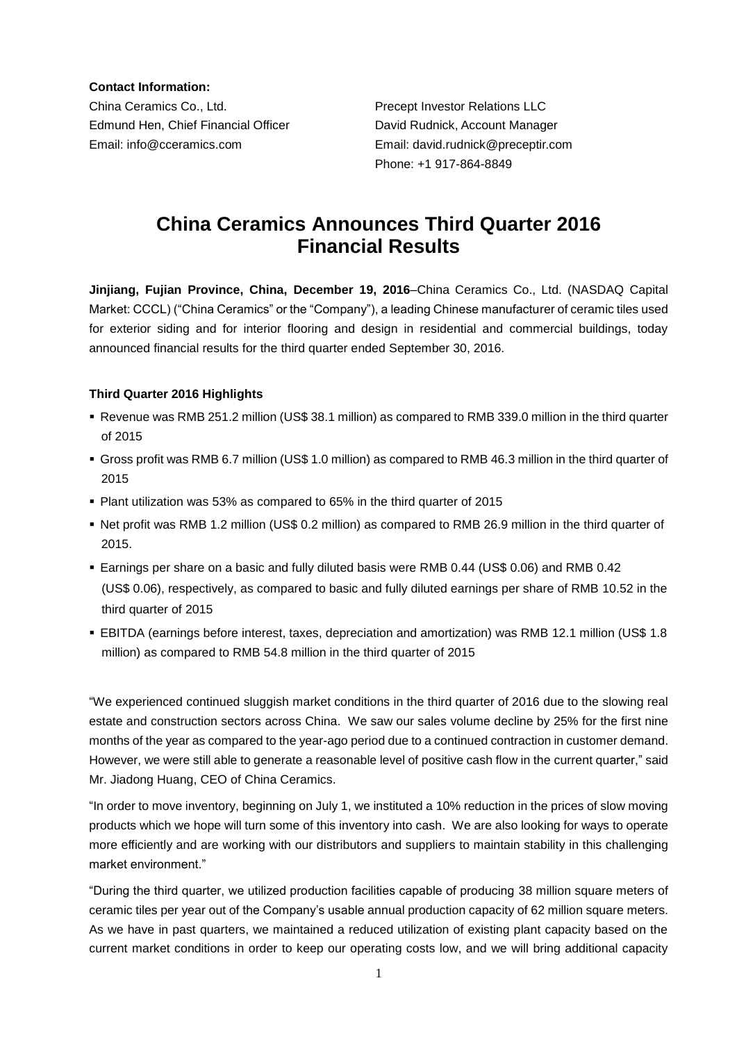**Contact Information:**

China Ceramics Co., Ltd. Precept Investor Relations LLC Edmund Hen, Chief Financial Officer David Rudnick, Account Manager Email: info@cceramics.com Email: david.rudnick@preceptir.com

Phone: +1 917-864-8849

# **China Ceramics Announces Third Quarter 2016 Financial Results**

**Jinjiang, Fujian Province, China, December 19, 2016**–China Ceramics Co., Ltd. (NASDAQ Capital Market: CCCL) ("China Ceramics" or the "Company"), a leading Chinese manufacturer of ceramic tiles used for exterior siding and for interior flooring and design in residential and commercial buildings, today announced financial results for the third quarter ended September 30, 2016.

## **Third Quarter 2016 Highlights**

- Revenue was RMB 251.2 million (US\$ 38.1 million) as compared to RMB 339.0 million in the third quarter of 2015
- Gross profit was RMB 6.7 million (US\$ 1.0 million) as compared to RMB 46.3 million in the third quarter of 2015
- Plant utilization was 53% as compared to 65% in the third quarter of 2015
- Net profit was RMB 1.2 million (US\$ 0.2 million) as compared to RMB 26.9 million in the third quarter of 2015.
- Earnings per share on a basic and fully diluted basis were RMB 0.44 (US\$ 0.06) and RMB 0.42 (US\$ 0.06), respectively, as compared to basic and fully diluted earnings per share of RMB 10.52 in the third quarter of 2015
- EBITDA (earnings before interest, taxes, depreciation and amortization) was RMB 12.1 million (US\$ 1.8 million) as compared to RMB 54.8 million in the third quarter of 2015

"We experienced continued sluggish market conditions in the third quarter of 2016 due to the slowing real estate and construction sectors across China. We saw our sales volume decline by 25% for the first nine months of the year as compared to the year-ago period due to a continued contraction in customer demand. However, we were still able to generate a reasonable level of positive cash flow in the current quarter," said Mr. Jiadong Huang, CEO of China Ceramics.

"In order to move inventory, beginning on July 1, we instituted a 10% reduction in the prices of slow moving products which we hope will turn some of this inventory into cash. We are also looking for ways to operate more efficiently and are working with our distributors and suppliers to maintain stability in this challenging market environment."

"During the third quarter, we utilized production facilities capable of producing 38 million square meters of ceramic tiles per year out of the Company's usable annual production capacity of 62 million square meters. As we have in past quarters, we maintained a reduced utilization of existing plant capacity based on the current market conditions in order to keep our operating costs low, and we will bring additional capacity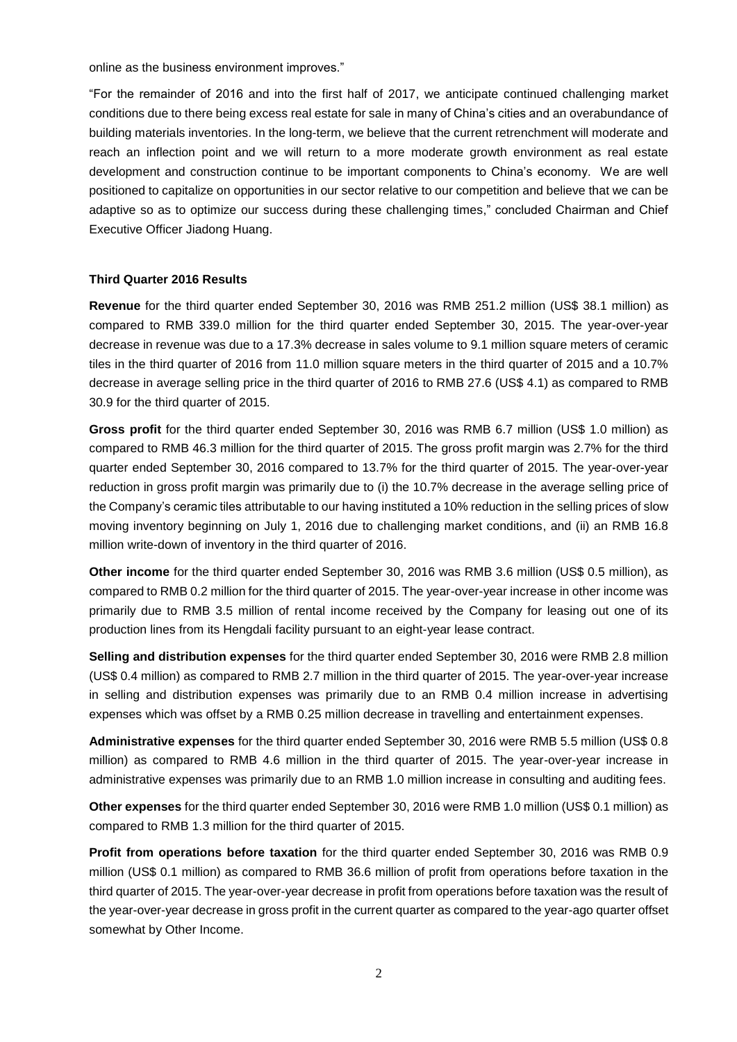online as the business environment improves."

"For the remainder of 2016 and into the first half of 2017, we anticipate continued challenging market conditions due to there being excess real estate for sale in many of China's cities and an overabundance of building materials inventories. In the long-term, we believe that the current retrenchment will moderate and reach an inflection point and we will return to a more moderate growth environment as real estate development and construction continue to be important components to China's economy. We are well positioned to capitalize on opportunities in our sector relative to our competition and believe that we can be adaptive so as to optimize our success during these challenging times," concluded Chairman and Chief Executive Officer Jiadong Huang.

## **Third Quarter 2016 Results**

**Revenue** for the third quarter ended September 30, 2016 was RMB 251.2 million (US\$ 38.1 million) as compared to RMB 339.0 million for the third quarter ended September 30, 2015. The year-over-year decrease in revenue was due to a 17.3% decrease in sales volume to 9.1 million square meters of ceramic tiles in the third quarter of 2016 from 11.0 million square meters in the third quarter of 2015 and a 10.7% decrease in average selling price in the third quarter of 2016 to RMB 27.6 (US\$ 4.1) as compared to RMB 30.9 for the third quarter of 2015.

**Gross profit** for the third quarter ended September 30, 2016 was RMB 6.7 million (US\$ 1.0 million) as compared to RMB 46.3 million for the third quarter of 2015. The gross profit margin was 2.7% for the third quarter ended September 30, 2016 compared to 13.7% for the third quarter of 2015. The year-over-year reduction in gross profit margin was primarily due to (i) the 10.7% decrease in the average selling price of the Company's ceramic tiles attributable to our having instituted a 10% reduction in the selling prices of slow moving inventory beginning on July 1, 2016 due to challenging market conditions, and (ii) an RMB 16.8 million write-down of inventory in the third quarter of 2016.

**Other income** for the third quarter ended September 30, 2016 was RMB 3.6 million (US\$ 0.5 million), as compared to RMB 0.2 million for the third quarter of 2015. The year-over-year increase in other income was primarily due to RMB 3.5 million of rental income received by the Company for leasing out one of its production lines from its Hengdali facility pursuant to an eight-year lease contract.

**Selling and distribution expenses** for the third quarter ended September 30, 2016 were RMB 2.8 million (US\$ 0.4 million) as compared to RMB 2.7 million in the third quarter of 2015. The year-over-year increase in selling and distribution expenses was primarily due to an RMB 0.4 million increase in advertising expenses which was offset by a RMB 0.25 million decrease in travelling and entertainment expenses.

**Administrative expenses** for the third quarter ended September 30, 2016 were RMB 5.5 million (US\$ 0.8 million) as compared to RMB 4.6 million in the third quarter of 2015. The year-over-year increase in administrative expenses was primarily due to an RMB 1.0 million increase in consulting and auditing fees.

**Other expenses** for the third quarter ended September 30, 2016 were RMB 1.0 million (US\$ 0.1 million) as compared to RMB 1.3 million for the third quarter of 2015.

**Profit from operations before taxation** for the third quarter ended September 30, 2016 was RMB 0.9 million (US\$ 0.1 million) as compared to RMB 36.6 million of profit from operations before taxation in the third quarter of 2015. The year-over-year decrease in profit from operations before taxation was the result of the year-over-year decrease in gross profit in the current quarter as compared to the year-ago quarter offset somewhat by Other Income.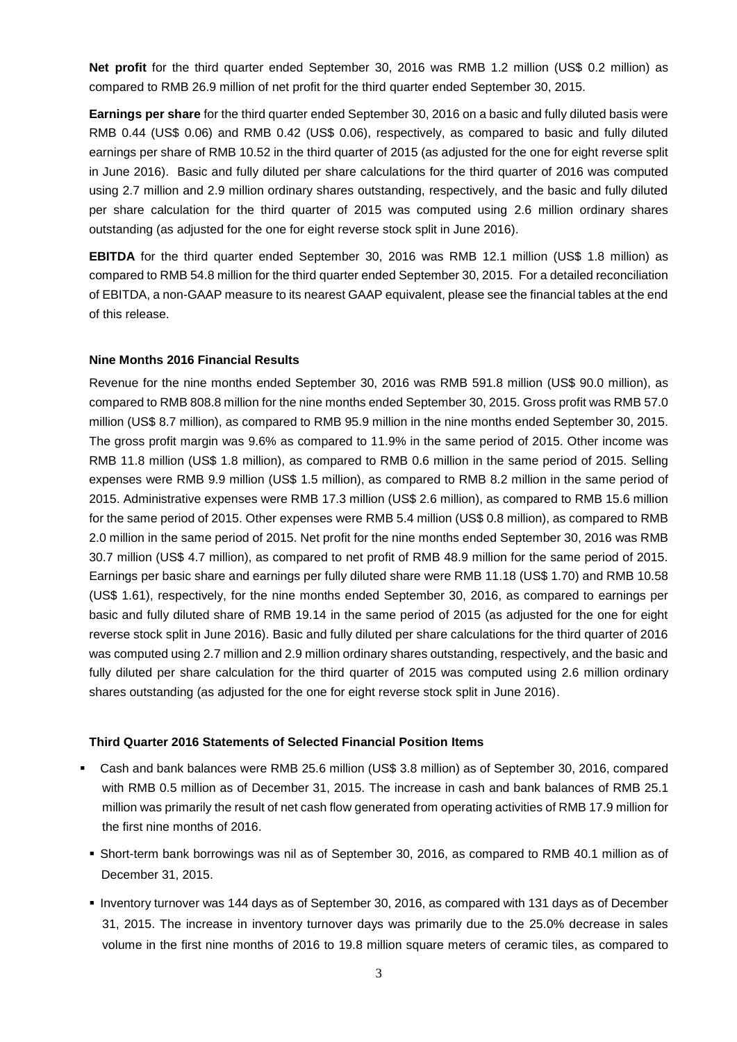**Net profit** for the third quarter ended September 30, 2016 was RMB 1.2 million (US\$ 0.2 million) as compared to RMB 26.9 million of net profit for the third quarter ended September 30, 2015.

**Earnings per share** for the third quarter ended September 30, 2016 on a basic and fully diluted basis were RMB 0.44 (US\$ 0.06) and RMB 0.42 (US\$ 0.06), respectively, as compared to basic and fully diluted earnings per share of RMB 10.52 in the third quarter of 2015 (as adjusted for the one for eight reverse split in June 2016). Basic and fully diluted per share calculations for the third quarter of 2016 was computed using 2.7 million and 2.9 million ordinary shares outstanding, respectively, and the basic and fully diluted per share calculation for the third quarter of 2015 was computed using 2.6 million ordinary shares outstanding (as adjusted for the one for eight reverse stock split in June 2016).

**EBITDA** for the third quarter ended September 30, 2016 was RMB 12.1 million (US\$ 1.8 million) as compared to RMB 54.8 million for the third quarter ended September 30, 2015. For a detailed reconciliation of EBITDA, a non-GAAP measure to its nearest GAAP equivalent, please see the financial tables at the end of this release.

### **Nine Months 2016 Financial Results**

Revenue for the nine months ended September 30, 2016 was RMB 591.8 million (US\$ 90.0 million), as compared to RMB 808.8 million for the nine months ended September 30, 2015. Gross profit was RMB 57.0 million (US\$ 8.7 million), as compared to RMB 95.9 million in the nine months ended September 30, 2015. The gross profit margin was 9.6% as compared to 11.9% in the same period of 2015. Other income was RMB 11.8 million (US\$ 1.8 million), as compared to RMB 0.6 million in the same period of 2015. Selling expenses were RMB 9.9 million (US\$ 1.5 million), as compared to RMB 8.2 million in the same period of 2015. Administrative expenses were RMB 17.3 million (US\$ 2.6 million), as compared to RMB 15.6 million for the same period of 2015. Other expenses were RMB 5.4 million (US\$ 0.8 million), as compared to RMB 2.0 million in the same period of 2015. Net profit for the nine months ended September 30, 2016 was RMB 30.7 million (US\$ 4.7 million), as compared to net profit of RMB 48.9 million for the same period of 2015. Earnings per basic share and earnings per fully diluted share were RMB 11.18 (US\$ 1.70) and RMB 10.58 (US\$ 1.61), respectively, for the nine months ended September 30, 2016, as compared to earnings per basic and fully diluted share of RMB 19.14 in the same period of 2015 (as adjusted for the one for eight reverse stock split in June 2016). Basic and fully diluted per share calculations for the third quarter of 2016 was computed using 2.7 million and 2.9 million ordinary shares outstanding, respectively, and the basic and fully diluted per share calculation for the third quarter of 2015 was computed using 2.6 million ordinary shares outstanding (as adjusted for the one for eight reverse stock split in June 2016).

#### **Third Quarter 2016 Statements of Selected Financial Position Items**

- Cash and bank balances were RMB 25.6 million (US\$ 3.8 million) as of September 30, 2016, compared with RMB 0.5 million as of December 31, 2015. The increase in cash and bank balances of RMB 25.1 million was primarily the result of net cash flow generated from operating activities of RMB 17.9 million for the first nine months of 2016.
	- Short-term bank borrowings was nil as of September 30, 2016, as compared to RMB 40.1 million as of December 31, 2015.
	- Inventory turnover was 144 days as of September 30, 2016, as compared with 131 days as of December 31, 2015. The increase in inventory turnover days was primarily due to the 25.0% decrease in sales volume in the first nine months of 2016 to 19.8 million square meters of ceramic tiles, as compared to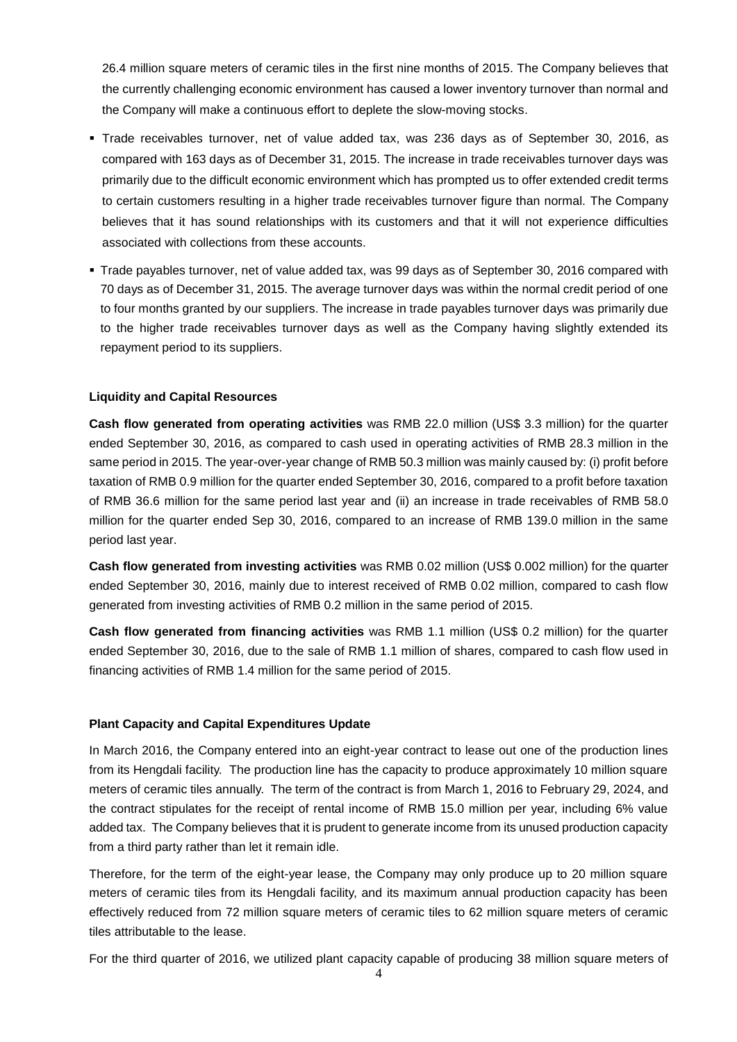26.4 million square meters of ceramic tiles in the first nine months of 2015. The Company believes that the currently challenging economic environment has caused a lower inventory turnover than normal and the Company will make a continuous effort to deplete the slow-moving stocks.

- Trade receivables turnover, net of value added tax, was 236 days as of September 30, 2016, as compared with 163 days as of December 31, 2015. The increase in trade receivables turnover days was primarily due to the difficult economic environment which has prompted us to offer extended credit terms to certain customers resulting in a higher trade receivables turnover figure than normal. The Company believes that it has sound relationships with its customers and that it will not experience difficulties associated with collections from these accounts.
- Trade payables turnover, net of value added tax, was 99 days as of September 30, 2016 compared with 70 days as of December 31, 2015. The average turnover days was within the normal credit period of one to four months granted by our suppliers. The increase in trade payables turnover days was primarily due to the higher trade receivables turnover days as well as the Company having slightly extended its repayment period to its suppliers.

## **Liquidity and Capital Resources**

**Cash flow generated from operating activities** was RMB 22.0 million (US\$ 3.3 million) for the quarter ended September 30, 2016, as compared to cash used in operating activities of RMB 28.3 million in the same period in 2015. The year-over-year change of RMB 50.3 million was mainly caused by: (i) profit before taxation of RMB 0.9 million for the quarter ended September 30, 2016, compared to a profit before taxation of RMB 36.6 million for the same period last year and (ii) an increase in trade receivables of RMB 58.0 million for the quarter ended Sep 30, 2016, compared to an increase of RMB 139.0 million in the same period last year.

**Cash flow generated from investing activities** was RMB 0.02 million (US\$ 0.002 million) for the quarter ended September 30, 2016, mainly due to interest received of RMB 0.02 million, compared to cash flow generated from investing activities of RMB 0.2 million in the same period of 2015.

**Cash flow generated from financing activities** was RMB 1.1 million (US\$ 0.2 million) for the quarter ended September 30, 2016, due to the sale of RMB 1.1 million of shares, compared to cash flow used in financing activities of RMB 1.4 million for the same period of 2015.

## **Plant Capacity and Capital Expenditures Update**

In March 2016, the Company entered into an eight-year contract to lease out one of the production lines from its Hengdali facility. The production line has the capacity to produce approximately 10 million square meters of ceramic tiles annually. The term of the contract is from March 1, 2016 to February 29, 2024, and the contract stipulates for the receipt of rental income of RMB 15.0 million per year, including 6% value added tax. The Company believes that it is prudent to generate income from its unused production capacity from a third party rather than let it remain idle.

Therefore, for the term of the eight-year lease, the Company may only produce up to 20 million square meters of ceramic tiles from its Hengdali facility, and its maximum annual production capacity has been effectively reduced from 72 million square meters of ceramic tiles to 62 million square meters of ceramic tiles attributable to the lease.

For the third quarter of 2016, we utilized plant capacity capable of producing 38 million square meters of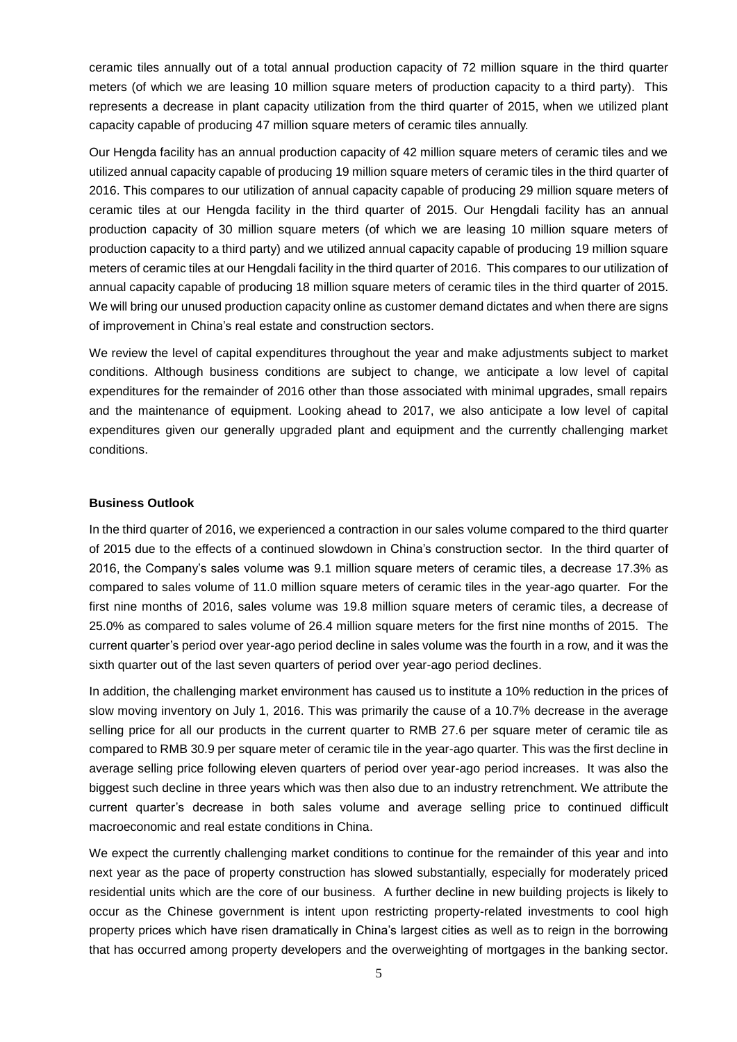ceramic tiles annually out of a total annual production capacity of 72 million square in the third quarter meters (of which we are leasing 10 million square meters of production capacity to a third party). This represents a decrease in plant capacity utilization from the third quarter of 2015, when we utilized plant capacity capable of producing 47 million square meters of ceramic tiles annually.

Our Hengda facility has an annual production capacity of 42 million square meters of ceramic tiles and we utilized annual capacity capable of producing 19 million square meters of ceramic tiles in the third quarter of 2016. This compares to our utilization of annual capacity capable of producing 29 million square meters of ceramic tiles at our Hengda facility in the third quarter of 2015. Our Hengdali facility has an annual production capacity of 30 million square meters (of which we are leasing 10 million square meters of production capacity to a third party) and we utilized annual capacity capable of producing 19 million square meters of ceramic tiles at our Hengdali facility in the third quarter of 2016. This compares to our utilization of annual capacity capable of producing 18 million square meters of ceramic tiles in the third quarter of 2015. We will bring our unused production capacity online as customer demand dictates and when there are signs of improvement in China's real estate and construction sectors.

We review the level of capital expenditures throughout the year and make adjustments subject to market conditions. Although business conditions are subject to change, we anticipate a low level of capital expenditures for the remainder of 2016 other than those associated with minimal upgrades, small repairs and the maintenance of equipment. Looking ahead to 2017, we also anticipate a low level of capital expenditures given our generally upgraded plant and equipment and the currently challenging market conditions.

### **Business Outlook**

In the third quarter of 2016, we experienced a contraction in our sales volume compared to the third quarter of 2015 due to the effects of a continued slowdown in China's construction sector. In the third quarter of 2016, the Company's sales volume was 9.1 million square meters of ceramic tiles, a decrease 17.3% as compared to sales volume of 11.0 million square meters of ceramic tiles in the year-ago quarter. For the first nine months of 2016, sales volume was 19.8 million square meters of ceramic tiles, a decrease of 25.0% as compared to sales volume of 26.4 million square meters for the first nine months of 2015. The current quarter's period over year-ago period decline in sales volume was the fourth in a row, and it was the sixth quarter out of the last seven quarters of period over year-ago period declines.

In addition, the challenging market environment has caused us to institute a 10% reduction in the prices of slow moving inventory on July 1, 2016. This was primarily the cause of a 10.7% decrease in the average selling price for all our products in the current quarter to RMB 27.6 per square meter of ceramic tile as compared to RMB 30.9 per square meter of ceramic tile in the year-ago quarter. This was the first decline in average selling price following eleven quarters of period over year-ago period increases. It was also the biggest such decline in three years which was then also due to an industry retrenchment. We attribute the current quarter's decrease in both sales volume and average selling price to continued difficult macroeconomic and real estate conditions in China.

We expect the currently challenging market conditions to continue for the remainder of this year and into next year as the pace of property construction has slowed substantially, especially for moderately priced residential units which are the core of our business. A further decline in new building projects is likely to occur as the Chinese government is intent upon restricting property-related investments to cool high property prices which have risen dramatically in China's largest cities as well as to reign in the borrowing that has occurred among property developers and the overweighting of mortgages in the banking sector.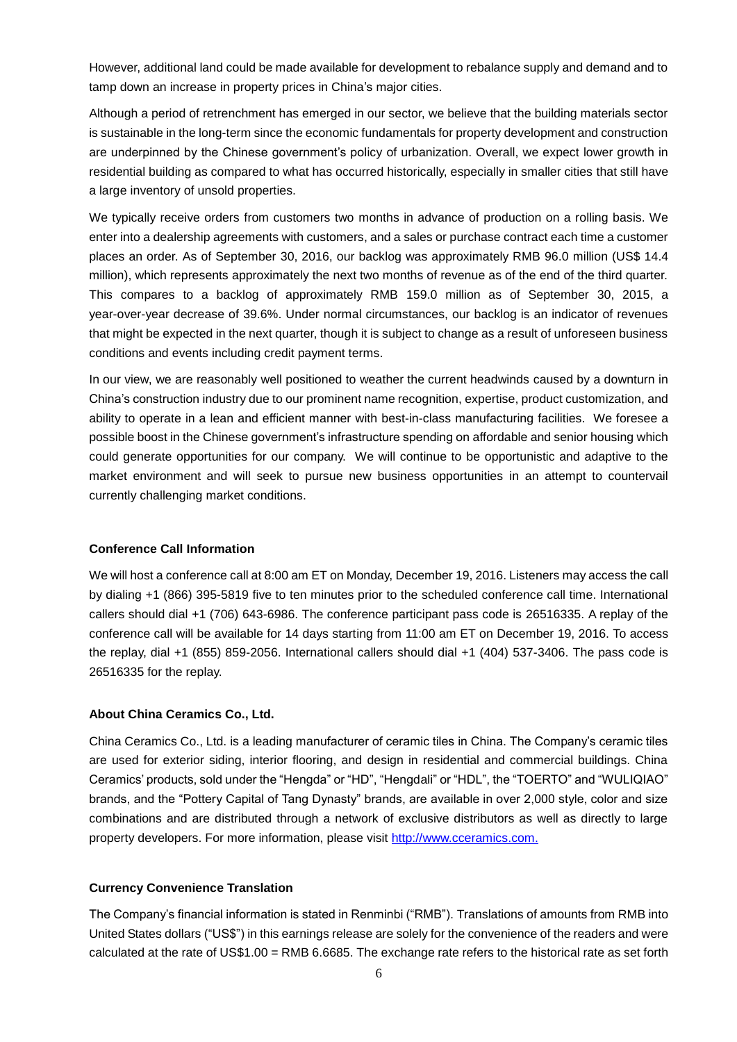However, additional land could be made available for development to rebalance supply and demand and to tamp down an increase in property prices in China's major cities.

Although a period of retrenchment has emerged in our sector, we believe that the building materials sector is sustainable in the long-term since the economic fundamentals for property development and construction are underpinned by the Chinese government's policy of urbanization. Overall, we expect lower growth in residential building as compared to what has occurred historically, especially in smaller cities that still have a large inventory of unsold properties.

We typically receive orders from customers two months in advance of production on a rolling basis. We enter into a dealership agreements with customers, and a sales or purchase contract each time a customer places an order. As of September 30, 2016, our backlog was approximately RMB 96.0 million (US\$ 14.4 million), which represents approximately the next two months of revenue as of the end of the third quarter. This compares to a backlog of approximately RMB 159.0 million as of September 30, 2015, a year-over-year decrease of 39.6%. Under normal circumstances, our backlog is an indicator of revenues that might be expected in the next quarter, though it is subject to change as a result of unforeseen business conditions and events including credit payment terms.

In our view, we are reasonably well positioned to weather the current headwinds caused by a downturn in China's construction industry due to our prominent name recognition, expertise, product customization, and ability to operate in a lean and efficient manner with best-in-class manufacturing facilities. We foresee a possible boost in the Chinese government's infrastructure spending on affordable and senior housing which could generate opportunities for our company. We will continue to be opportunistic and adaptive to the market environment and will seek to pursue new business opportunities in an attempt to countervail currently challenging market conditions.

### **Conference Call Information**

We will host a conference call at 8:00 am ET on Monday, December 19, 2016. Listeners may access the call by dialing +1 (866) 395-5819 five to ten minutes prior to the scheduled conference call time. International callers should dial +1 (706) 643-6986. The conference participant pass code is 26516335. A replay of the conference call will be available for 14 days starting from 11:00 am ET on December 19, 2016. To access the replay, dial +1 (855) 859-2056. International callers should dial +1 (404) 537-3406. The pass code is 26516335 for the replay.

### **About China Ceramics Co., Ltd.**

China Ceramics Co., Ltd. is a leading manufacturer of ceramic tiles in China. The Company's ceramic tiles are used for exterior siding, interior flooring, and design in residential and commercial buildings. China Ceramics' products, sold under the "Hengda" or "HD", "Hengdali" or "HDL", the "TOERTO" and "WULIQIAO" brands, and the "Pottery Capital of Tang Dynasty" brands, are available in over 2,000 style, color and size combinations and are distributed through a network of exclusive distributors as well as directly to large property developers. For more information, please visit [http://www.cceramics.com.](http://www.cceramics.com/)

### **Currency Convenience Translation**

The Company's financial information is stated in Renminbi ("RMB"). Translations of amounts from RMB into United States dollars ("US\$") in this earnings release are solely for the convenience of the readers and were calculated at the rate of US\$1.00 = RMB 6.6685. The exchange rate refers to the historical rate as set forth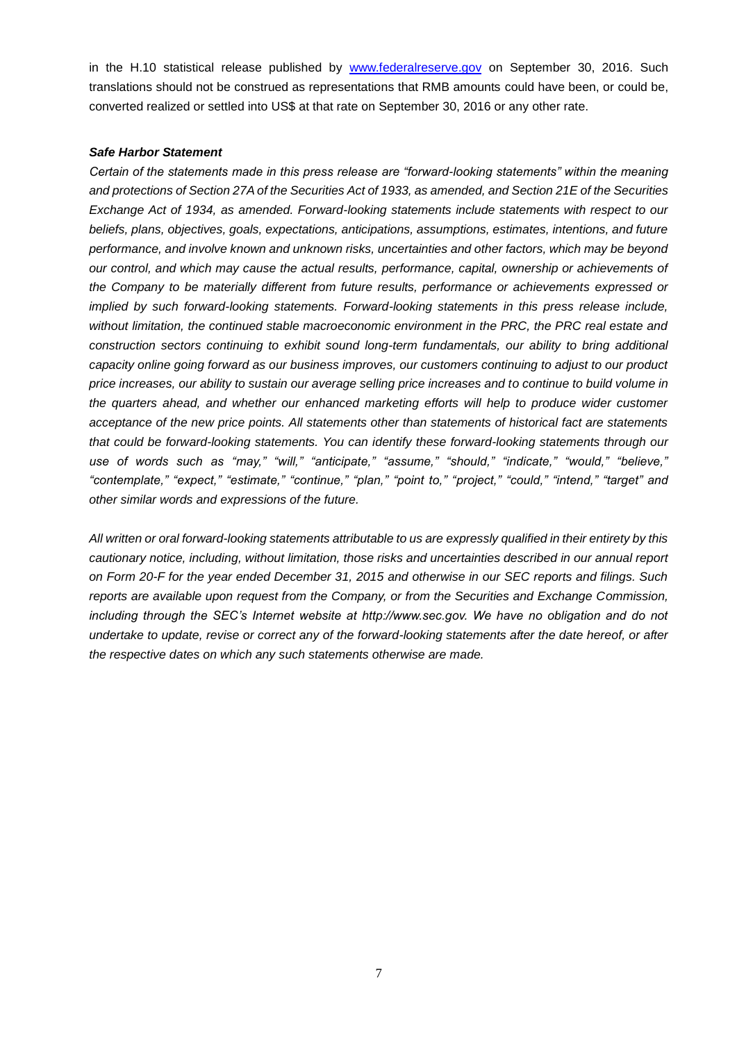in the H.10 statistical release published by [www.federalreserve.gov](http://www.federalreserve.gov/) on September 30, 2016. Such translations should not be construed as representations that RMB amounts could have been, or could be, converted realized or settled into US\$ at that rate on September 30, 2016 or any other rate.

### *Safe Harbor Statement*

*Certain of the statements made in this press release are "forward-looking statements" within the meaning and protections of Section 27A of the Securities Act of 1933, as amended, and Section 21E of the Securities Exchange Act of 1934, as amended. Forward-looking statements include statements with respect to our beliefs, plans, objectives, goals, expectations, anticipations, assumptions, estimates, intentions, and future performance, and involve known and unknown risks, uncertainties and other factors, which may be beyond our control, and which may cause the actual results, performance, capital, ownership or achievements of the Company to be materially different from future results, performance or achievements expressed or implied by such forward-looking statements. Forward-looking statements in this press release include, without limitation, the continued stable macroeconomic environment in the PRC, the PRC real estate and construction sectors continuing to exhibit sound long-term fundamentals, our ability to bring additional capacity online going forward as our business improves, our customers continuing to adjust to our product price increases, our ability to sustain our average selling price increases and to continue to build volume in the quarters ahead, and whether our enhanced marketing efforts will help to produce wider customer acceptance of the new price points. All statements other than statements of historical fact are statements that could be forward-looking statements. You can identify these forward-looking statements through our use of words such as "may," "will," "anticipate," "assume," "should," "indicate," "would," "believe," "contemplate," "expect," "estimate," "continue," "plan," "point to," "project," "could," "intend," "target" and other similar words and expressions of the future.*

*All written or oral forward-looking statements attributable to us are expressly qualified in their entirety by this cautionary notice, including, without limitation, those risks and uncertainties described in our annual report on Form 20-F for the year ended December 31, 2015 and otherwise in our SEC reports and filings. Such reports are available upon request from the Company, or from the Securities and Exchange Commission, including through the SEC's Internet website at http://www.sec.gov. We have no obligation and do not undertake to update, revise or correct any of the forward-looking statements after the date hereof, or after the respective dates on which any such statements otherwise are made.*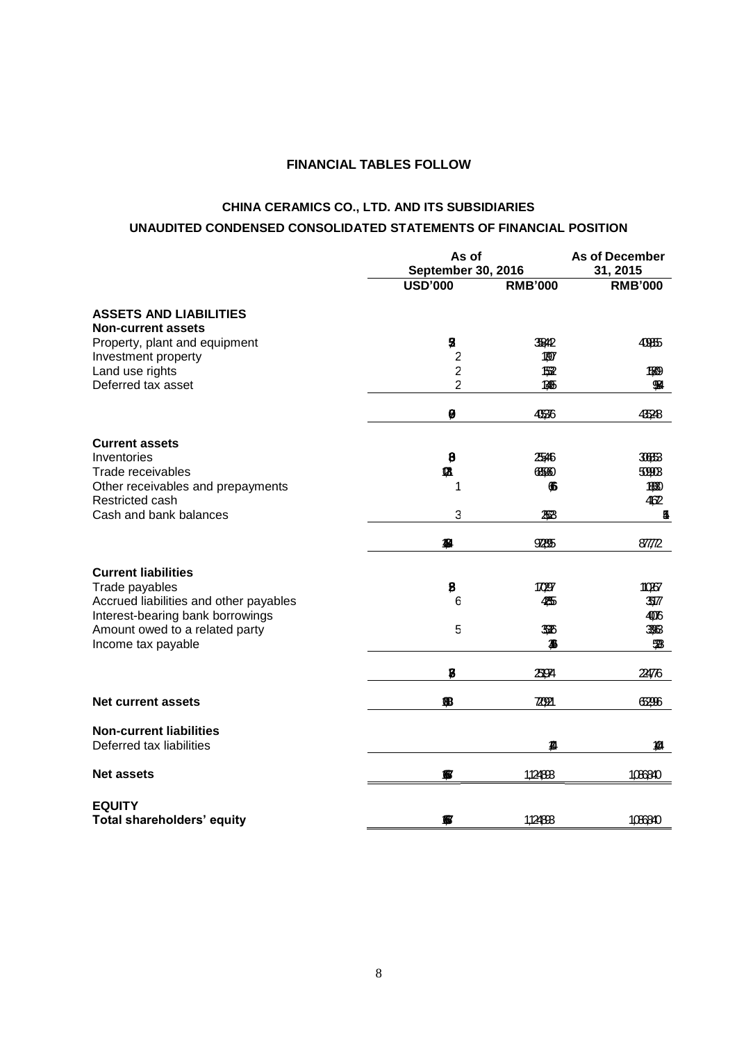## **FINANCIAL TABLES FOLLOW**

# **CHINA CERAMICS CO., LTD. AND ITS SUBSIDIARIES UNAUDITED CONDENSED CONSOLIDATED STATEMENTS OF FINANCIAL POSITION**

|                                                            | As of<br><b>September 30, 2016</b> |                      | <b>As of December</b><br>31, 2015 |  |
|------------------------------------------------------------|------------------------------------|----------------------|-----------------------------------|--|
|                                                            | <b>USD'000</b>                     | <b>RMB'000</b>       | <b>RMB'000</b>                    |  |
| <b>ASSETS AND LIABILITIES</b><br><b>Non-current assets</b> |                                    |                      |                                   |  |
| Property, plant and equipment<br>Investment property       | 5<br>$\overline{c}$                | <b>JEAP</b><br>1,907 | 40855                             |  |
| Land use rights                                            | $\overline{\mathbf{c}}$            | 1532                 | 1589                              |  |
| Deferred tax asset                                         | 2                                  | 1345                 | 984                               |  |
|                                                            | Ø                                  | 4536                 | 4528                              |  |
| <b>Current assets</b>                                      |                                    |                      |                                   |  |
| Inventories                                                | $\boldsymbol{\beta}$               | 2546                 | 30663                             |  |
| Trade receivables                                          | Ø                                  | 655660               | 50908                             |  |
| Other receivables and prepayments                          | 1                                  | 66                   | 1,530                             |  |
| Restricted cash                                            |                                    |                      | 462                               |  |
| Cash and bank balances                                     | 3                                  | 258                  | 5                                 |  |
|                                                            | 忽                                  | 925                  | 87772                             |  |
| <b>Current liabilities</b>                                 |                                    |                      |                                   |  |
| Trade payables                                             | 8                                  | 17097                | 10267                             |  |
| Accrued liabilities and other payables                     | 6                                  | 435                  | 3517                              |  |
| Interest-bearing bank borrowings                           |                                    |                      | 406                               |  |
| Amount owed to a related party                             | 5                                  | 336                  | 3966                              |  |
| Income tax payable                                         |                                    | 36                   | 528                               |  |
|                                                            | $\bf{B}$                           | 2504                 | 22476                             |  |
| <b>Net current assets</b>                                  | 68                                 | 720921               | 6296                              |  |
| <b>Non-current liabilities</b>                             |                                    |                      |                                   |  |
| Deferred tax liabilities                                   |                                    | 狐                    | 狐                                 |  |
| <b>Net assets</b>                                          | €                                  | 1,124893             | 1066340                           |  |
| <b>EQUITY</b>                                              |                                    |                      |                                   |  |
| Total shareholders' equity                                 | 忽                                  | 1,124893             | 1066840                           |  |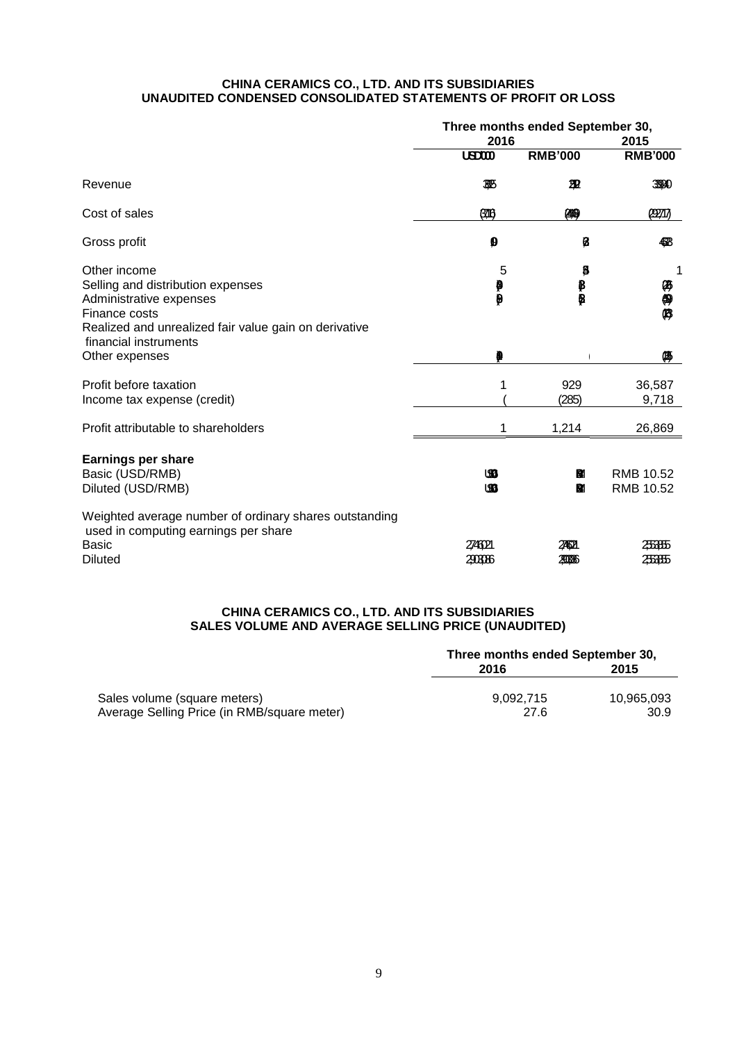### **CHINA CERAMICS CO., LTD. AND ITS SUBSIDIARIES UNAUDITED CONDENSED CONSOLIDATED STATEMENTS OF PROFIT OR LOSS**

|                                                                                                                                                        | Three months ended September 30,<br>2016<br>2015 |                         |                        |
|--------------------------------------------------------------------------------------------------------------------------------------------------------|--------------------------------------------------|-------------------------|------------------------|
|                                                                                                                                                        | <b>USD000</b>                                    | <b>RMB'000</b>          | <b>RMB'000</b>         |
| Revenue                                                                                                                                                | 385                                              | 翌                       | 3990                   |
| Cost of sales                                                                                                                                          | 0716                                             | (449)                   | <b>CERTIT</b>          |
| Gross profit                                                                                                                                           | Ø                                                | Ø                       | 483                    |
| Other income<br>Selling and distribution expenses<br>Administrative expenses<br>Finance costs<br>Realized and unrealized fair value gain on derivative | 5<br>₽<br>$\mathbf{\varrho}$                     | g<br>₿<br>$\ddot{\phi}$ | 两侧屏                    |
| financial instruments<br>Other expenses                                                                                                                |                                                  |                         | 傴                      |
| Profit before taxation<br>Income tax expense (credit)                                                                                                  |                                                  | 929<br>(285)            | 36,587<br>9,718        |
| Profit attributable to shareholders                                                                                                                    | 1                                                | 1,214                   | 26,869                 |
| <b>Earnings per share</b><br>Basic (USD/RMB)<br>Diluted (USD/RMB)                                                                                      | மை<br><b>SB</b>                                  | M<br>BM.                | RMB 10.52<br>RMB 10.52 |
| Weighted average number of ordinary shares outstanding<br>used in computing earnings per share<br>Basic<br><b>Diluted</b>                              | 2746021<br>20006                                 | 24621<br>2006           | 256655<br>256655       |

## **CHINA CERAMICS CO., LTD. AND ITS SUBSIDIARIES SALES VOLUME AND AVERAGE SELLING PRICE (UNAUDITED)**

|                                             | Three months ended September 30, |            |  |
|---------------------------------------------|----------------------------------|------------|--|
|                                             | 2016                             | 2015       |  |
|                                             |                                  |            |  |
| Sales volume (square meters)                | 9.092.715                        | 10.965.093 |  |
| Average Selling Price (in RMB/square meter) | 27.6                             | 30.9       |  |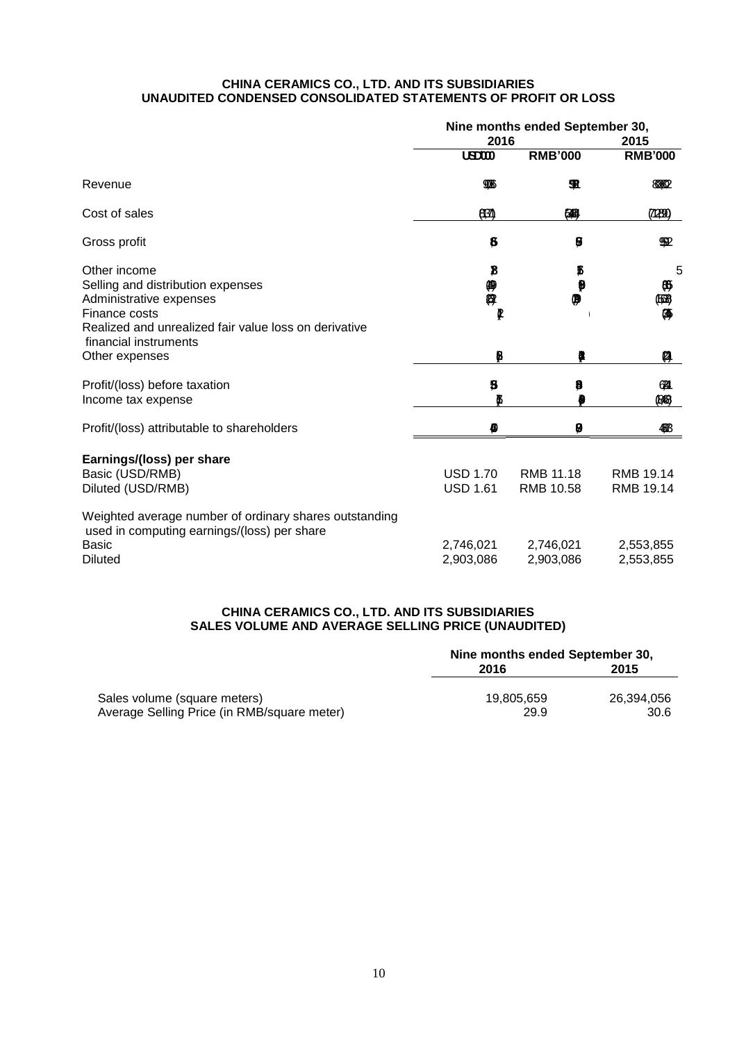### **CHINA CERAMICS CO., LTD. AND ITS SUBSIDIARIES UNAUDITED CONDENSED CONSOLIDATED STATEMENTS OF PROFIT OR LOSS**

|                                                                                                                                                        | Nine months ended September 30,<br>2016<br>2015 |                        |                        |
|--------------------------------------------------------------------------------------------------------------------------------------------------------|-------------------------------------------------|------------------------|------------------------|
|                                                                                                                                                        | <b>USD000</b>                                   | <b>RMB'000</b>         | <b>RMB'000</b>         |
| Revenue                                                                                                                                                | <b>THE</b>                                      | 92                     | 8882                   |
| Cost of sales                                                                                                                                          | 637                                             | 网                      | (7130)                 |
| Gross profit                                                                                                                                           | \$                                              | Ø                      | 952                    |
| Other income<br>Selling and distribution expenses<br>Administrative expenses<br>Finance costs<br>Realized and unrealized fair value loss on derivative | B<br>伸 界<br>P                                   | ß<br>Ø<br>φ            | 5<br>Ø)<br>(168)<br>傳  |
| financial instruments<br>Other expenses                                                                                                                | B                                               |                        | Ø                      |
| Profit/(loss) before taxation<br>Income tax expense                                                                                                    | 5                                               | ₿                      | 634<br>(1963)          |
| Profit/(loss) attributable to shareholders                                                                                                             |                                                 | 0                      | 488                    |
| Earnings/(loss) per share<br>Basic (USD/RMB)<br>Diluted (USD/RMB)                                                                                      | <b>USD 1.70</b><br><b>USD 1.61</b>              | RMB 11.18<br>RMB 10.58 | RMB 19.14<br>RMB 19.14 |
| Weighted average number of ordinary shares outstanding<br>used in computing earnings/(loss) per share<br><b>Basic</b><br><b>Diluted</b>                | 2,746,021<br>2,903,086                          | 2,746,021<br>2,903,086 | 2,553,855<br>2,553,855 |

## **CHINA CERAMICS CO., LTD. AND ITS SUBSIDIARIES SALES VOLUME AND AVERAGE SELLING PRICE (UNAUDITED)**

|                                             | Nine months ended September 30, |            |  |
|---------------------------------------------|---------------------------------|------------|--|
|                                             | 2016                            | 2015       |  |
| Sales volume (square meters)                | 19.805.659                      | 26.394.056 |  |
| Average Selling Price (in RMB/square meter) | 29.9                            | 30.6       |  |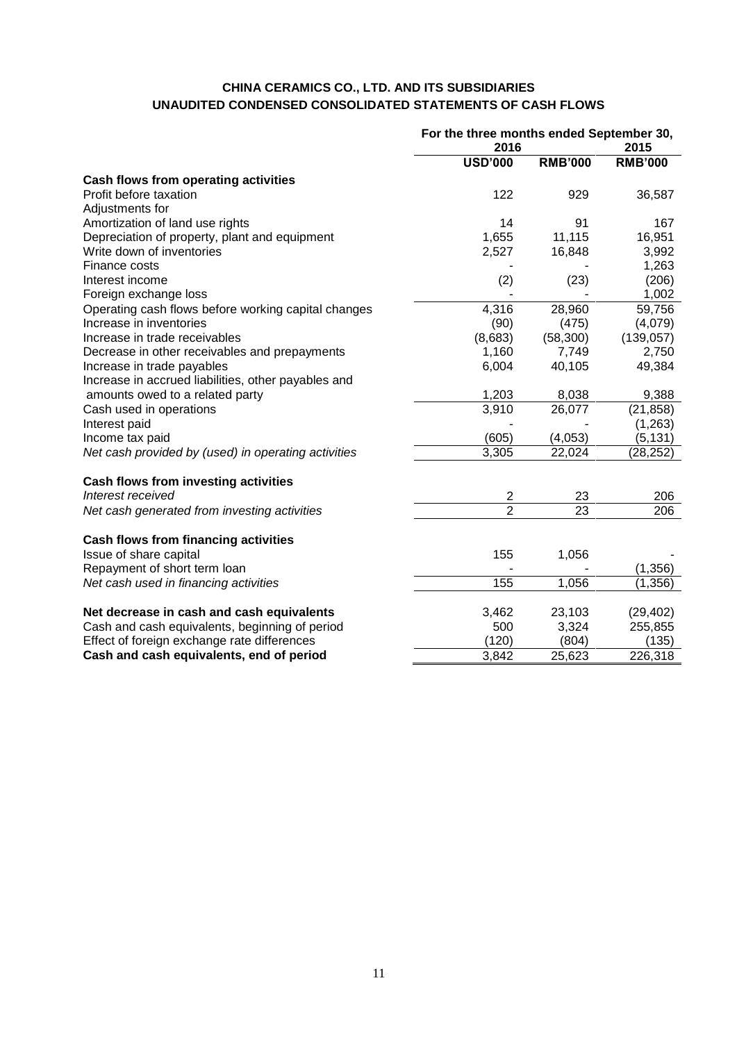## **CHINA CERAMICS CO., LTD. AND ITS SUBSIDIARIES UNAUDITED CONDENSED CONSOLIDATED STATEMENTS OF CASH FLOWS**

|                                                     | For the three months ended September 30, |                 |                |
|-----------------------------------------------------|------------------------------------------|-----------------|----------------|
|                                                     | 2016                                     |                 | 2015           |
|                                                     | <b>USD'000</b>                           | <b>RMB'000</b>  | <b>RMB'000</b> |
| Cash flows from operating activities                |                                          |                 |                |
| Profit before taxation                              | 122                                      | 929             | 36,587         |
| Adjustments for                                     |                                          |                 |                |
| Amortization of land use rights                     | 14                                       | 91              | 167            |
| Depreciation of property, plant and equipment       | 1,655                                    | 11,115          | 16,951         |
| Write down of inventories                           | 2,527                                    | 16,848          | 3,992          |
| Finance costs                                       |                                          |                 | 1,263          |
| Interest income                                     | (2)                                      | (23)            | (206)          |
| Foreign exchange loss                               |                                          |                 | 1,002          |
| Operating cash flows before working capital changes | 4,316                                    | 28,960          | 59,756         |
| Increase in inventories                             | (90)                                     | (475)           | (4,079)        |
| Increase in trade receivables                       | (8,683)                                  | (58, 300)       | (139, 057)     |
| Decrease in other receivables and prepayments       | 1,160                                    | 7,749           | 2,750          |
| Increase in trade payables                          | 6,004                                    | 40,105          | 49,384         |
| Increase in accrued liabilities, other payables and |                                          |                 |                |
| amounts owed to a related party                     | 1,203                                    | 8,038           | 9,388          |
| Cash used in operations                             | 3,910                                    | 26,077          | (21, 858)      |
| Interest paid                                       |                                          |                 | (1,263)        |
| Income tax paid                                     | (605)                                    | (4,053)         | (5, 131)       |
| Net cash provided by (used) in operating activities | 3,305                                    | 22,024          | (28, 252)      |
| Cash flows from investing activities                |                                          |                 |                |
| Interest received                                   | $\overline{2}$                           | 23              | 206            |
| Net cash generated from investing activities        | $\overline{2}$                           | $\overline{23}$ | 206            |
| Cash flows from financing activities                |                                          |                 |                |
| Issue of share capital                              | 155                                      | 1,056           |                |
| Repayment of short term loan                        |                                          |                 | (1, 356)       |
| Net cash used in financing activities               | 155                                      | 1,056           | (1, 356)       |
| Net decrease in cash and cash equivalents           | 3,462                                    | 23,103          | (29, 402)      |
| Cash and cash equivalents, beginning of period      | 500                                      | 3,324           | 255,855        |
| Effect of foreign exchange rate differences         | (120)                                    | (804)           | (135)          |
| Cash and cash equivalents, end of period            | 3,842                                    | 25,623          | 226,318        |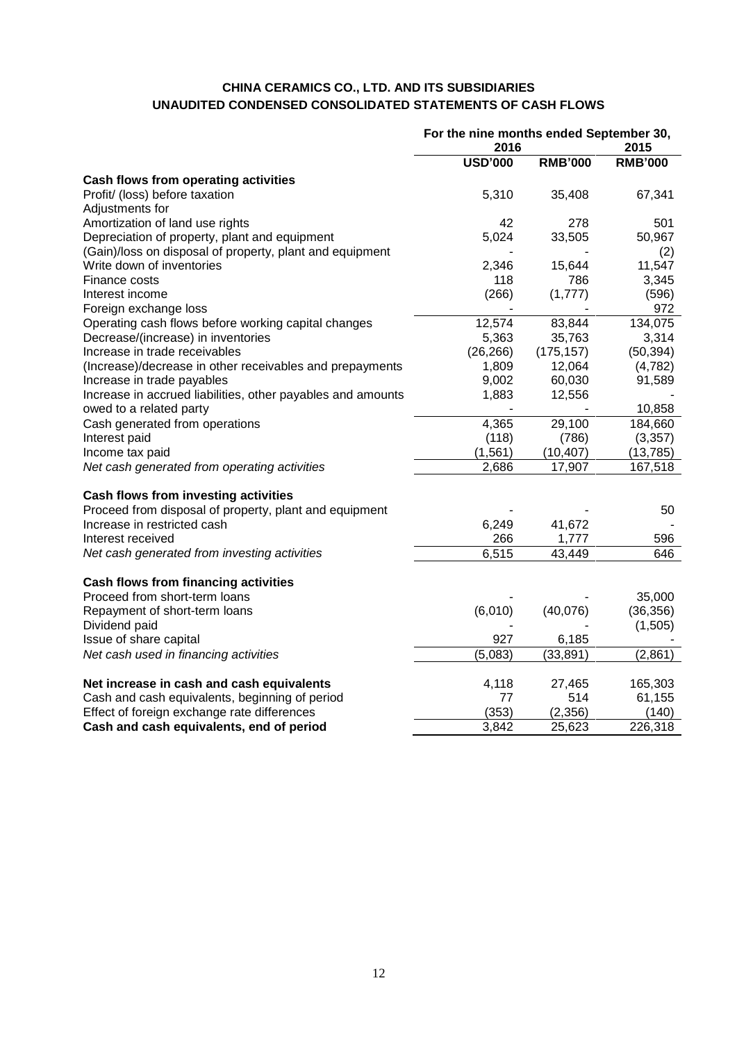## **CHINA CERAMICS CO., LTD. AND ITS SUBSIDIARIES UNAUDITED CONDENSED CONSOLIDATED STATEMENTS OF CASH FLOWS**

| 2016<br>2015<br><b>USD'000</b><br><b>RMB'000</b><br><b>RMB'000</b><br>5,310<br>35,408<br>67,341<br>278<br>42<br>501<br>5,024<br>33,505<br>50,967<br>(Gain)/loss on disposal of property, plant and equipment<br>(2)<br>Write down of inventories<br>2,346<br>11,547<br>15,644<br>118<br>786<br>3,345<br>(266)<br>(596)<br>(1,777)<br>Foreign exchange loss<br>972<br>12,574<br>83,844<br>134,075<br>Operating cash flows before working capital changes<br>5,363<br>3,314<br>Decrease/(increase) in inventories<br>35,763<br>(26, 266)<br>Increase in trade receivables<br>(175, 157)<br>(50, 394)<br>1,809<br>(Increase)/decrease in other receivables and prepayments<br>12,064<br>(4,782)<br>Increase in trade payables<br>9,002<br>60,030<br>91,589<br>1,883<br>Increase in accrued liabilities, other payables and amounts<br>12,556<br>owed to a related party<br>10,858<br>4,365<br>184,660<br>Cash generated from operations<br>29,100<br>(3,357)<br>Interest paid<br>(118)<br>(786)<br>(1, 561)<br>(10, 407)<br>Income tax paid<br>(13, 785)<br>2,686<br>Net cash generated from operating activities<br>17,907<br>167,518<br>50<br>6,249<br>41,672<br>266<br>1,777<br>596<br>6,515<br>43,449<br>646<br><b>Cash flows from financing activities</b><br>Proceed from short-term loans<br>35,000<br>Repayment of short-term loans<br>(6,010)<br>(40,076)<br>(36, 356)<br>(1,505)<br>927<br>6,185<br>(5,083)<br>(33, 891)<br>(2,861) |                                                        | For the nine months ended September 30, |  |  |
|--------------------------------------------------------------------------------------------------------------------------------------------------------------------------------------------------------------------------------------------------------------------------------------------------------------------------------------------------------------------------------------------------------------------------------------------------------------------------------------------------------------------------------------------------------------------------------------------------------------------------------------------------------------------------------------------------------------------------------------------------------------------------------------------------------------------------------------------------------------------------------------------------------------------------------------------------------------------------------------------------------------------------------------------------------------------------------------------------------------------------------------------------------------------------------------------------------------------------------------------------------------------------------------------------------------------------------------------------------------------------------------------------------------------------------------------|--------------------------------------------------------|-----------------------------------------|--|--|
|                                                                                                                                                                                                                                                                                                                                                                                                                                                                                                                                                                                                                                                                                                                                                                                                                                                                                                                                                                                                                                                                                                                                                                                                                                                                                                                                                                                                                                            |                                                        |                                         |  |  |
|                                                                                                                                                                                                                                                                                                                                                                                                                                                                                                                                                                                                                                                                                                                                                                                                                                                                                                                                                                                                                                                                                                                                                                                                                                                                                                                                                                                                                                            |                                                        |                                         |  |  |
|                                                                                                                                                                                                                                                                                                                                                                                                                                                                                                                                                                                                                                                                                                                                                                                                                                                                                                                                                                                                                                                                                                                                                                                                                                                                                                                                                                                                                                            | Cash flows from operating activities                   |                                         |  |  |
|                                                                                                                                                                                                                                                                                                                                                                                                                                                                                                                                                                                                                                                                                                                                                                                                                                                                                                                                                                                                                                                                                                                                                                                                                                                                                                                                                                                                                                            | Profit/ (loss) before taxation                         |                                         |  |  |
|                                                                                                                                                                                                                                                                                                                                                                                                                                                                                                                                                                                                                                                                                                                                                                                                                                                                                                                                                                                                                                                                                                                                                                                                                                                                                                                                                                                                                                            | Adjustments for                                        |                                         |  |  |
|                                                                                                                                                                                                                                                                                                                                                                                                                                                                                                                                                                                                                                                                                                                                                                                                                                                                                                                                                                                                                                                                                                                                                                                                                                                                                                                                                                                                                                            | Amortization of land use rights                        |                                         |  |  |
|                                                                                                                                                                                                                                                                                                                                                                                                                                                                                                                                                                                                                                                                                                                                                                                                                                                                                                                                                                                                                                                                                                                                                                                                                                                                                                                                                                                                                                            | Depreciation of property, plant and equipment          |                                         |  |  |
|                                                                                                                                                                                                                                                                                                                                                                                                                                                                                                                                                                                                                                                                                                                                                                                                                                                                                                                                                                                                                                                                                                                                                                                                                                                                                                                                                                                                                                            |                                                        |                                         |  |  |
|                                                                                                                                                                                                                                                                                                                                                                                                                                                                                                                                                                                                                                                                                                                                                                                                                                                                                                                                                                                                                                                                                                                                                                                                                                                                                                                                                                                                                                            |                                                        |                                         |  |  |
|                                                                                                                                                                                                                                                                                                                                                                                                                                                                                                                                                                                                                                                                                                                                                                                                                                                                                                                                                                                                                                                                                                                                                                                                                                                                                                                                                                                                                                            | Finance costs                                          |                                         |  |  |
|                                                                                                                                                                                                                                                                                                                                                                                                                                                                                                                                                                                                                                                                                                                                                                                                                                                                                                                                                                                                                                                                                                                                                                                                                                                                                                                                                                                                                                            | Interest income                                        |                                         |  |  |
|                                                                                                                                                                                                                                                                                                                                                                                                                                                                                                                                                                                                                                                                                                                                                                                                                                                                                                                                                                                                                                                                                                                                                                                                                                                                                                                                                                                                                                            |                                                        |                                         |  |  |
|                                                                                                                                                                                                                                                                                                                                                                                                                                                                                                                                                                                                                                                                                                                                                                                                                                                                                                                                                                                                                                                                                                                                                                                                                                                                                                                                                                                                                                            |                                                        |                                         |  |  |
|                                                                                                                                                                                                                                                                                                                                                                                                                                                                                                                                                                                                                                                                                                                                                                                                                                                                                                                                                                                                                                                                                                                                                                                                                                                                                                                                                                                                                                            |                                                        |                                         |  |  |
|                                                                                                                                                                                                                                                                                                                                                                                                                                                                                                                                                                                                                                                                                                                                                                                                                                                                                                                                                                                                                                                                                                                                                                                                                                                                                                                                                                                                                                            |                                                        |                                         |  |  |
|                                                                                                                                                                                                                                                                                                                                                                                                                                                                                                                                                                                                                                                                                                                                                                                                                                                                                                                                                                                                                                                                                                                                                                                                                                                                                                                                                                                                                                            |                                                        |                                         |  |  |
|                                                                                                                                                                                                                                                                                                                                                                                                                                                                                                                                                                                                                                                                                                                                                                                                                                                                                                                                                                                                                                                                                                                                                                                                                                                                                                                                                                                                                                            |                                                        |                                         |  |  |
|                                                                                                                                                                                                                                                                                                                                                                                                                                                                                                                                                                                                                                                                                                                                                                                                                                                                                                                                                                                                                                                                                                                                                                                                                                                                                                                                                                                                                                            |                                                        |                                         |  |  |
|                                                                                                                                                                                                                                                                                                                                                                                                                                                                                                                                                                                                                                                                                                                                                                                                                                                                                                                                                                                                                                                                                                                                                                                                                                                                                                                                                                                                                                            |                                                        |                                         |  |  |
|                                                                                                                                                                                                                                                                                                                                                                                                                                                                                                                                                                                                                                                                                                                                                                                                                                                                                                                                                                                                                                                                                                                                                                                                                                                                                                                                                                                                                                            |                                                        |                                         |  |  |
|                                                                                                                                                                                                                                                                                                                                                                                                                                                                                                                                                                                                                                                                                                                                                                                                                                                                                                                                                                                                                                                                                                                                                                                                                                                                                                                                                                                                                                            |                                                        |                                         |  |  |
|                                                                                                                                                                                                                                                                                                                                                                                                                                                                                                                                                                                                                                                                                                                                                                                                                                                                                                                                                                                                                                                                                                                                                                                                                                                                                                                                                                                                                                            |                                                        |                                         |  |  |
|                                                                                                                                                                                                                                                                                                                                                                                                                                                                                                                                                                                                                                                                                                                                                                                                                                                                                                                                                                                                                                                                                                                                                                                                                                                                                                                                                                                                                                            |                                                        |                                         |  |  |
|                                                                                                                                                                                                                                                                                                                                                                                                                                                                                                                                                                                                                                                                                                                                                                                                                                                                                                                                                                                                                                                                                                                                                                                                                                                                                                                                                                                                                                            | Cash flows from investing activities                   |                                         |  |  |
|                                                                                                                                                                                                                                                                                                                                                                                                                                                                                                                                                                                                                                                                                                                                                                                                                                                                                                                                                                                                                                                                                                                                                                                                                                                                                                                                                                                                                                            | Proceed from disposal of property, plant and equipment |                                         |  |  |
|                                                                                                                                                                                                                                                                                                                                                                                                                                                                                                                                                                                                                                                                                                                                                                                                                                                                                                                                                                                                                                                                                                                                                                                                                                                                                                                                                                                                                                            | Increase in restricted cash                            |                                         |  |  |
|                                                                                                                                                                                                                                                                                                                                                                                                                                                                                                                                                                                                                                                                                                                                                                                                                                                                                                                                                                                                                                                                                                                                                                                                                                                                                                                                                                                                                                            | Interest received                                      |                                         |  |  |
|                                                                                                                                                                                                                                                                                                                                                                                                                                                                                                                                                                                                                                                                                                                                                                                                                                                                                                                                                                                                                                                                                                                                                                                                                                                                                                                                                                                                                                            | Net cash generated from investing activities           |                                         |  |  |
|                                                                                                                                                                                                                                                                                                                                                                                                                                                                                                                                                                                                                                                                                                                                                                                                                                                                                                                                                                                                                                                                                                                                                                                                                                                                                                                                                                                                                                            |                                                        |                                         |  |  |
|                                                                                                                                                                                                                                                                                                                                                                                                                                                                                                                                                                                                                                                                                                                                                                                                                                                                                                                                                                                                                                                                                                                                                                                                                                                                                                                                                                                                                                            |                                                        |                                         |  |  |
|                                                                                                                                                                                                                                                                                                                                                                                                                                                                                                                                                                                                                                                                                                                                                                                                                                                                                                                                                                                                                                                                                                                                                                                                                                                                                                                                                                                                                                            |                                                        |                                         |  |  |
|                                                                                                                                                                                                                                                                                                                                                                                                                                                                                                                                                                                                                                                                                                                                                                                                                                                                                                                                                                                                                                                                                                                                                                                                                                                                                                                                                                                                                                            | Dividend paid                                          |                                         |  |  |
|                                                                                                                                                                                                                                                                                                                                                                                                                                                                                                                                                                                                                                                                                                                                                                                                                                                                                                                                                                                                                                                                                                                                                                                                                                                                                                                                                                                                                                            | Issue of share capital                                 |                                         |  |  |
|                                                                                                                                                                                                                                                                                                                                                                                                                                                                                                                                                                                                                                                                                                                                                                                                                                                                                                                                                                                                                                                                                                                                                                                                                                                                                                                                                                                                                                            | Net cash used in financing activities                  |                                         |  |  |
| 4,118<br>165,303<br>27,465                                                                                                                                                                                                                                                                                                                                                                                                                                                                                                                                                                                                                                                                                                                                                                                                                                                                                                                                                                                                                                                                                                                                                                                                                                                                                                                                                                                                                 | Net increase in cash and cash equivalents              |                                         |  |  |
| 77<br>514<br>61,155                                                                                                                                                                                                                                                                                                                                                                                                                                                                                                                                                                                                                                                                                                                                                                                                                                                                                                                                                                                                                                                                                                                                                                                                                                                                                                                                                                                                                        | Cash and cash equivalents, beginning of period         |                                         |  |  |
| (353)<br>(2, 356)<br>(140)                                                                                                                                                                                                                                                                                                                                                                                                                                                                                                                                                                                                                                                                                                                                                                                                                                                                                                                                                                                                                                                                                                                                                                                                                                                                                                                                                                                                                 | Effect of foreign exchange rate differences            |                                         |  |  |
| 226,318<br>3,842<br>25,623                                                                                                                                                                                                                                                                                                                                                                                                                                                                                                                                                                                                                                                                                                                                                                                                                                                                                                                                                                                                                                                                                                                                                                                                                                                                                                                                                                                                                 | Cash and cash equivalents, end of period               |                                         |  |  |